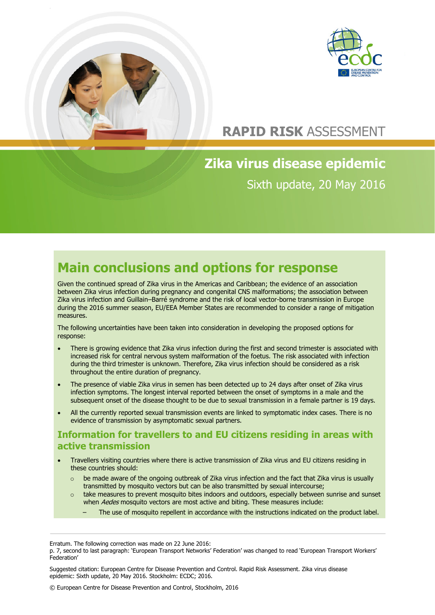



## **RAPID RISK** ASSESSMENT

# **Zika virus disease epidemic** Sixth update, 20 May 2016

# **Main conclusions and options for response**

Given the continued spread of Zika virus in the Americas and Caribbean; the evidence of an association between Zika virus infection during pregnancy and congenital CNS malformations; the association between Zika virus infection and Guillain–Barré syndrome and the risk of local vector-borne transmission in Europe during the 2016 summer season, EU/EEA Member States are recommended to consider a range of mitigation measures.

The following uncertainties have been taken into consideration in developing the proposed options for response:

- There is growing evidence that Zika virus infection during the first and second trimester is associated with increased risk for central nervous system malformation of the foetus. The risk associated with infection during the third trimester is unknown. Therefore, Zika virus infection should be considered as a risk throughout the entire duration of pregnancy.
- The presence of viable Zika virus in semen has been detected up to 24 days after onset of Zika virus infection symptoms. The longest interval reported between the onset of symptoms in a male and the subsequent onset of the disease thought to be due to sexual transmission in a female partner is 19 days.
- All the currently reported sexual transmission events are linked to symptomatic index cases. There is no evidence of transmission by asymptomatic sexual partners.

### **Information for travellers to and EU citizens residing in areas with active transmission**

- Travellers visiting countries where there is active transmission of Zika virus and EU citizens residing in these countries should:
	- $\circ$  be made aware of the ongoing outbreak of Zika virus infection and the fact that Zika virus is usually transmitted by mosquito vectors but can be also transmitted by sexual intercourse;
	- o take measures to prevent mosquito bites indoors and outdoors, especially between sunrise and sunset when Aedes mosquito vectors are most active and biting. These measures include:
		- The use of mosquito repellent in accordance with the instructions indicated on the product label.

Suggested citation: European Centre for Disease Prevention and Control. Rapid Risk Assessment. Zika virus disease epidemic: Sixth update, 20 May 2016. Stockholm: ECDC; 2016.

© European Centre for Disease Prevention and Control, Stockholm, 2016

Erratum. The following correction was made on 22 June 2016:

p. 7, second to last paragraph: 'European Transport Networks' Federation' was changed to read 'European Transport Workers' Federation'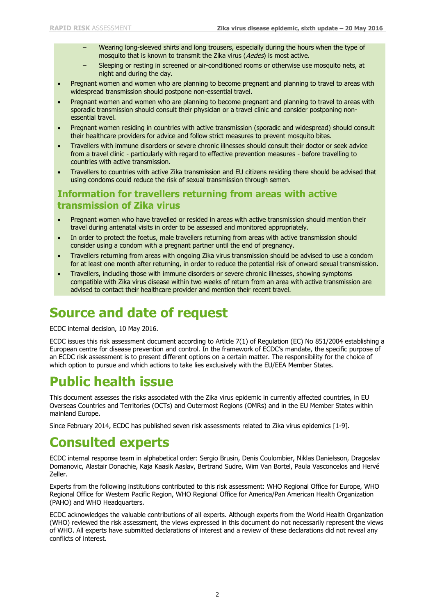- Wearing long-sleeved shirts and long trousers, especially during the hours when the type of mosquito that is known to transmit the Zika virus (Aedes) is most active.
- Sleeping or resting in screened or air-conditioned rooms or otherwise use mosquito nets, at night and during the day.
- Pregnant women and women who are planning to become pregnant and planning to travel to areas with widespread transmission should postpone non-essential travel.
- Pregnant women and women who are planning to become pregnant and planning to travel to areas with sporadic transmission should consult their physician or a travel clinic and consider postponing nonessential travel.
- Pregnant women residing in countries with active transmission (sporadic and widespread) should consult their healthcare providers for advice and follow strict measures to prevent mosquito bites.
- Travellers with immune disorders or severe chronic illnesses should consult their doctor or seek advice from a travel clinic - particularly with regard to effective prevention measures - before travelling to countries with active transmission.
- Travellers to countries with active Zika transmission and EU citizens residing there should be advised that using condoms could reduce the risk of sexual transmission through semen.

### **Information for travellers returning from areas with active transmission of Zika virus**

- Pregnant women who have travelled or resided in areas with active transmission should mention their travel during antenatal visits in order to be assessed and monitored appropriately.
- In order to protect the foetus, male travellers returning from areas with active transmission should consider using a condom with a pregnant partner until the end of pregnancy.
- Travellers returning from areas with ongoing Zika virus transmission should be advised to use a condom for at least one month after returning, in order to reduce the potential risk of onward sexual transmission.
- Travellers, including those with immune disorders or severe chronic illnesses, showing symptoms compatible with Zika virus disease within two weeks of return from an area with active transmission are advised to contact their healthcare provider and mention their recent travel.

## **Source and date of request**

ECDC internal decision, 10 May 2016.

ECDC issues this risk assessment document according to Article 7(1) of Regulation (EC) No 851/2004 establishing a European centre for disease prevention and control. In the framework of ECDC's mandate, the specific purpose of an ECDC risk assessment is to present different options on a certain matter. The responsibility for the choice of which option to pursue and which actions to take lies exclusively with the EU/EEA Member States.

# **Public health issue**

This document assesses the risks associated with the Zika virus epidemic in currently affected countries, in EU Overseas Countries and Territories (OCTs) and Outermost Regions (OMRs) and in the EU Member States within mainland Europe.

Since February 2014, ECDC has published seven risk assessments related to Zika virus epidemics [1-9].

## **Consulted experts**

ECDC internal response team in alphabetical order: Sergio Brusin, Denis Coulombier, Niklas Danielsson, Dragoslav Domanovic, Alastair Donachie, Kaja Kaasik Aaslav, Bertrand Sudre, Wim Van Bortel, Paula Vasconcelos and Hervé Zeller.

Experts from the following institutions contributed to this risk assessment: WHO Regional Office for Europe, WHO Regional Office for Western Pacific Region, WHO Regional Office for America/Pan American Health Organization (PAHO) and WHO Headquarters.

ECDC acknowledges the valuable contributions of all experts. Although experts from the World Health Organization (WHO) reviewed the risk assessment, the views expressed in this document do not necessarily represent the views of WHO. All experts have submitted declarations of interest and a review of these declarations did not reveal any conflicts of interest.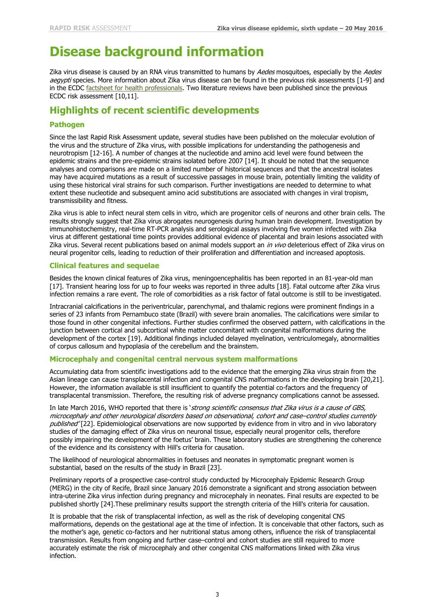# **Disease background information**

Zika virus disease is caused by an RNA virus transmitted to humans by Aedes mosquitoes, especially by the Aedes aegypti species. More information about Zika virus disease can be found in the previous risk assessments [1-9] and in the ECDC [factsheet for health professionals.](http://ecdc.europa.eu/en/healthtopics/zika_virus_infection/factsheet-health-professionals/Pages/factsheet_health_professionals.aspx) Two literature reviews have been published since the previous ECDC risk assessment [10,11].

#### **Highlights of recent scientific developments**

#### **Pathogen**

Since the last Rapid Risk Assessment update, several studies have been published on the molecular evolution of the virus and the structure of Zika virus, with possible implications for understanding the pathogenesis and neurotropism [12-16]. A number of changes at the nucleotide and amino acid level were found between the epidemic strains and the pre-epidemic strains isolated before 2007 [14]. It should be noted that the sequence analyses and comparisons are made on a limited number of historical sequences and that the ancestral isolates may have acquired mutations as a result of successive passages in mouse brain, potentially limiting the validity of using these historical viral strains for such comparison. Further investigations are needed to determine to what extent these nucleotide and subsequent amino acid substitutions are associated with changes in viral tropism, transmissibility and fitness.

Zika virus is able to infect neural stem cells in vitro, which are progenitor cells of neurons and other brain cells. The results strongly suggest that Zika virus abrogates neurogenesis during human brain development. Investigation by immunohistochemistry, real-time RT-PCR analysis and serological assays involving five women infected with Zika virus at different gestational time points provides additional evidence of placental and brain lesions associated with Zika virus. Several recent publications based on animal models support an in vivo deleterious effect of Zika virus on neural progenitor cells, leading to reduction of their proliferation and differentiation and increased apoptosis.

#### **Clinical features and sequelae**

Besides the known clinical features of Zika virus, meningoencephalitis has been reported in an 81-year-old man [17]. Transient hearing loss for up to four weeks was reported in three adults [18]. Fatal outcome after Zika virus infection remains a rare event. The role of comorbidities as a risk factor of fatal outcome is still to be investigated.

Intracranial calcifications in the periventricular, parenchymal, and thalamic regions were prominent findings in a series of 23 infants from Pernambuco state (Brazil) with severe brain anomalies. The calcifications were similar to those found in other congenital infections. Further studies confirmed the observed pattern, with calcifications in the junction between cortical and subcortical white matter concomitant with congenital malformations during the development of the cortex [19]. Additional findings included delayed myelination, ventriculomegaly, abnormalities of corpus callosum and hypoplasia of the cerebellum and the brainstem.

#### **Microcephaly and congenital central nervous system malformations**

Accumulating data from scientific investigations add to the evidence that the emerging Zika virus strain from the Asian lineage can cause transplacental infection and congenital CNS malformations in the developing brain [20,21]. However, the information available is still insufficient to quantify the potential co-factors and the frequency of transplacental transmission. Therefore, the resulting risk of adverse pregnancy complications cannot be assessed.

In late March 2016, WHO reported that there is 'strong scientific consensus that Zika virus is a cause of GBS, microcephaly and other neurological disorders based on observational, cohort and case–control studies currently published'[22]. Epidemiological observations are now supported by evidence from in vitro and in vivo laboratory studies of the damaging effect of Zika virus on neuronal tissue, especially neural progenitor cells, therefore possibly impairing the development of the foetus' brain. These laboratory studies are strengthening the coherence of the evidence and its consistency with Hill's criteria for causation.

The likelihood of neurological abnormalities in foetuses and neonates in symptomatic pregnant women is substantial, based on the results of the study in Brazil [23].

Preliminary reports of a prospective case-control study conducted by Microcephaly Epidemic Research Group (MERG) in the city of Recife, Brazil since January 2016 demonstrate a significant and strong association between intra-uterine Zika virus infection during pregnancy and microcephaly in neonates. Final results are expected to be published shortly [24].These preliminary results support the strength criteria of the Hill's criteria for causation.

It is probable that the risk of transplacental infection, as well as the risk of developing congenital CNS malformations, depends on the gestational age at the time of infection. It is conceivable that other factors, such as the mother's age, genetic co-factors and her nutritional status among others, influence the risk of transplacental transmission. Results from ongoing and further case–control and cohort studies are still required to more accurately estimate the risk of microcephaly and other congenital CNS malformations linked with Zika virus infection.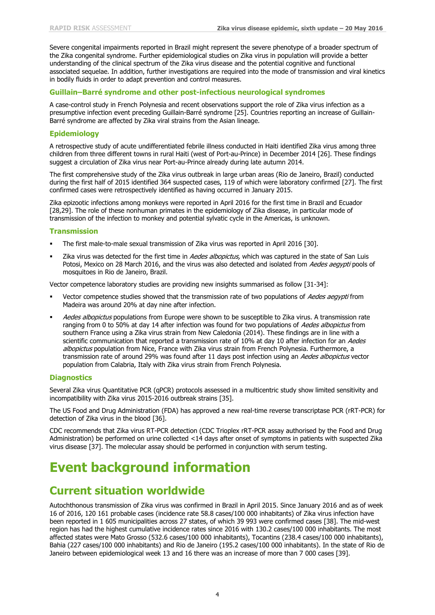Severe congenital impairments reported in Brazil might represent the severe phenotype of a broader spectrum of the Zika congenital syndrome. Further epidemiological studies on Zika virus in population will provide a better understanding of the clinical spectrum of the Zika virus disease and the potential cognitive and functional associated sequelae. In addition, further investigations are required into the mode of transmission and viral kinetics in bodily fluids in order to adapt prevention and control measures.

#### **Guillain–Barré syndrome and other post-infectious neurological syndromes**

A case-control study in French Polynesia and recent observations support the role of Zika virus infection as a presumptive infection event preceding Guillain-Barré syndrome [25]. Countries reporting an increase of Guillain-Barré syndrome are affected by Zika viral strains from the Asian lineage.

#### **Epidemiology**

A retrospective study of acute undifferentiated febrile illness conducted in Haiti identified Zika virus among three children from three different towns in rural Haiti (west of Port-au-Prince) in December 2014 [26]. These findings suggest a circulation of Zika virus near Port-au-Prince already during late autumn 2014.

The first comprehensive study of the Zika virus outbreak in large urban areas (Rio de Janeiro, Brazil) conducted during the first half of 2015 identified 364 suspected cases, 119 of which were laboratory confirmed [27]. The first confirmed cases were retrospectively identified as having occurred in January 2015.

Zika epizootic infections among monkeys were reported in April 2016 for the first time in Brazil and Ecuador [28,29]. The role of these nonhuman primates in the epidemiology of Zika disease, in particular mode of transmission of the infection to monkey and potential sylvatic cycle in the Americas, is unknown.

#### **Transmission**

- The first male-to-male sexual transmission of Zika virus was reported in April 2016 [30].
- Zika virus was detected for the first time in Aedes albopictus, which was captured in the state of San Luis Potosi, Mexico on 28 March 2016, and the virus was also detected and isolated from Aedes aegypti pools of mosquitoes in Rio de Janeiro, Brazil.

Vector competence laboratory studies are providing new insights summarised as follow [31-34]:

- Vector competence studies showed that the transmission rate of two populations of Aedes aegypti from Madeira was around 20% at day nine after infection.
- Aedes albopictus populations from Europe were shown to be susceptible to Zika virus. A transmission rate ranging from 0 to 50% at day 14 after infection was found for two populations of Aedes albopictus from southern France using a Zika virus strain from New Caledonia (2014). These findings are in line with a scientific communication that reported a transmission rate of 10% at day 10 after infection for an Aedes albopictus population from Nice, France with Zika virus strain from French Polynesia. Furthermore, a transmission rate of around 29% was found after 11 days post infection using an Aedes albopictus vector population from Calabria, Italy with Zika virus strain from French Polynesia.

#### **Diagnostics**

Several Zika virus Quantitative PCR (qPCR) protocols assessed in a multicentric study show limited sensitivity and incompatibility with Zika virus 2015-2016 outbreak strains [35].

The US Food and Drug Administration (FDA) has approved a new real-time reverse transcriptase PCR (rRT-PCR) for detection of Zika virus in the blood [36].

CDC recommends that Zika virus RT-PCR detection (CDC Trioplex rRT-PCR assay authorised by the Food and Drug Administration) be performed on urine collected <14 days after onset of symptoms in patients with suspected Zika virus disease [37]. The molecular assay should be performed in conjunction with serum testing.

## **Event background information**

### **Current situation worldwide**

Autochthonous transmission of Zika virus was confirmed in Brazil in April 2015. Since January 2016 and as of week 16 of 2016, 120 161 probable cases (incidence rate 58.8 cases/100 000 inhabitants) of Zika virus infection have been reported in 1 605 municipalities across 27 states, of which 39 993 were confirmed cases [38]. The mid-west region has had the highest cumulative incidence rates since 2016 with 130.2 cases/100 000 inhabitants. The most affected states were Mato Grosso (532.6 cases/100 000 inhabitants), Tocantins (238.4 cases/100 000 inhabitants), Bahia (227 cases/100 000 inhabitants) and Rio de Janeiro (195.2 cases/100 000 inhabitants). In the state of Rio de Janeiro between epidemiological week 13 and 16 there was an increase of more than 7 000 cases [39].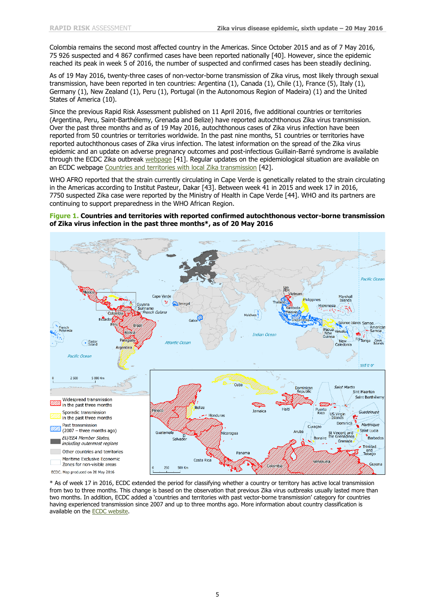Colombia remains the second most affected country in the Americas. Since October 2015 and as of 7 May 2016, 75 926 suspected and 4 867 confirmed cases have been reported nationally [40]. However, since the epidemic reached its peak in week 5 of 2016, the number of suspected and confirmed cases has been steadily declining.

As of 19 May 2016, twenty-three cases of non-vector-borne transmission of Zika virus, most likely through sexual transmission, have been reported in ten countries: Argentina (1), Canada (1), Chile (1), France (5), Italy (1), Germany (1), New Zealand (1), Peru (1), Portugal (in the Autonomous Region of Madeira) (1) and the United States of America (10).

Since the previous Rapid Risk Assessment published on 11 April 2016, five additional countries or territories (Argentina, Peru, Saint-Barthélemy, Grenada and Belize) have reported autochthonous Zika virus transmission. Over the past three months and as of 19 May 2016, autochthonous cases of Zika virus infection have been reported from 50 countries or territories worldwide. In the past nine months, 51 countries or territories have reported autochthonous cases of Zika virus infection. The latest information on the spread of the Zika virus epidemic and an update on adverse pregnancy outcomes and post-infectious Guillain-Barré syndrome is available through the ECDC Zika outbreak [webpage](http://ecdc.europa.eu/en/healthtopics/zika_virus_infection/zika-outbreak/Pages/zika-outbreak.aspx) [41]. Regular updates on the epidemiological situation are available on an ECDC webpage [Countries and territories with local Zika transmission](http://ecdc.europa.eu/en/healthtopics/zika_virus_infection/zika-outbreak/Pages/Zika-countries-with-transmission.aspx) [42].

WHO AFRO reported that the strain currently circulating in Cape Verde is genetically related to the strain circulating in the Americas according to Institut Pasteur, Dakar [43]. Between week 41 in 2015 and week 17 in 2016, 7750 suspected Zika case were reported by the Ministry of Health in Cape Verde [44]. WHO and its partners are continuing to support preparedness in the WHO African Region.

#### **Figure 1. Countries and territories with reported confirmed autochthonous vector-borne transmission of Zika virus infection in the past three months\*, as of 20 May 2016**



\* As of week 17 in 2016, ECDC extended the period for classifying whether a country or territory has active local transmission from two to three months. This change is based on the observation that previous Zika virus outbreaks usually lasted more than two months. In addition, ECDC added a 'countries and territories with past vector-borne transmission' category for countries having experienced transmission since 2007 and up to three months ago. More information about country classification is available on the [ECDC website.](http://www.ecdc.europa.eu/en/healthtopics/zika_virus_infection/zika-outbreak/Pages/Zika-countries-with-transmission.aspx)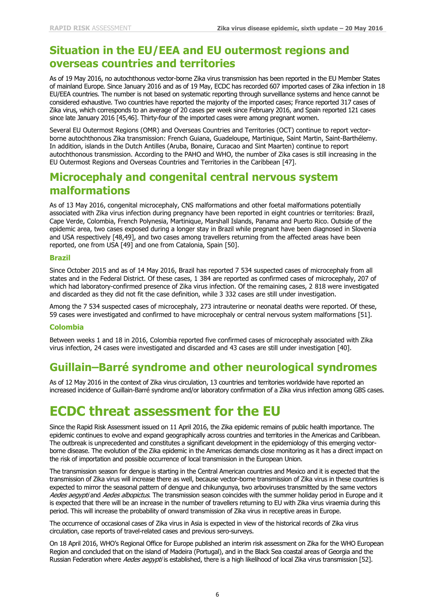### **Situation in the EU/EEA and EU outermost regions and overseas countries and territories**

As of 19 May 2016, no autochthonous vector-borne Zika virus transmission has been reported in the EU Member States of mainland Europe. Since January 2016 and as of 19 May, ECDC has recorded 607 imported cases of Zika infection in 18 EU/EEA countries. The number is not based on systematic reporting through surveillance systems and hence cannot be considered exhaustive. Two countries have reported the majority of the imported cases; France reported 317 cases of Zika virus, which corresponds to an average of 20 cases per week since February 2016, and Spain reported 121 cases since late January 2016 [45,46]. Thirty-four of the imported cases were among pregnant women.

Several EU Outermost Regions (OMR) and Overseas Countries and Territories (OCT) continue to report vectorborne autochthonous Zika transmission: French Guiana, Guadeloupe, Martinique, Saint Martin, Saint-Barthélemy. In addition, islands in the Dutch Antilles (Aruba, Bonaire, Curacao and Sint Maarten) continue to report autochthonous transmission. According to the PAHO and WHO, the number of Zika cases is still increasing in the EU Outermost Regions and Overseas Countries and Territories in the Caribbean [47].

### **Microcephaly and congenital central nervous system malformations**

As of 13 May 2016, congenital microcephaly, CNS malformations and other foetal malformations potentially associated with Zika virus infection during pregnancy have been reported in eight countries or territories: Brazil, Cape Verde, Colombia, French Polynesia, Martinique, Marshall Islands, Panama and Puerto Rico. Outside of the epidemic area, two cases exposed during a longer stay in Brazil while pregnant have been diagnosed in Slovenia and USA respectively [48,49], and two cases among travellers returning from the affected areas have been reported, one from USA [49] and one from Catalonia, Spain [50].

#### **Brazil**

Since October 2015 and as of 14 May 2016, Brazil has reported 7 534 suspected cases of microcephaly from all states and in the Federal District. Of these cases, 1 384 are reported as confirmed cases of microcephaly, 207 of which had laboratory-confirmed presence of Zika virus infection. Of the remaining cases, 2 818 were investigated and discarded as they did not fit the case definition, while 3 332 cases are still under investigation.

Among the 7 534 suspected cases of microcephaly, 273 intrauterine or neonatal deaths were reported. Of these, 59 cases were investigated and confirmed to have microcephaly or central nervous system malformations [51].

#### **Colombia**

Between weeks 1 and 18 in 2016, Colombia reported five confirmed cases of microcephaly associated with Zika virus infection, 24 cases were investigated and discarded and 43 cases are still under investigation [40].

## **Guillain–Barré syndrome and other neurological syndromes**

As of 12 May 2016 in the context of Zika virus circulation, 13 countries and territories worldwide have reported an increased incidence of Guillain-Barré syndrome and/or laboratory confirmation of a Zika virus infection among GBS cases.

## **ECDC threat assessment for the EU**

Since the Rapid Risk Assessment issued on 11 April 2016, the Zika epidemic remains of public health importance. The epidemic continues to evolve and expand geographically across countries and territories in the Americas and Caribbean. The outbreak is unprecedented and constitutes a significant development in the epidemiology of this emerging vectorborne disease. The evolution of the Zika epidemic in the Americas demands close monitoring as it has a direct impact on the risk of importation and possible occurrence of local transmission in the European Union.

The transmission season for dengue is starting in the Central American countries and Mexico and it is expected that the transmission of Zika virus will increase there as well, because vector-borne transmission of Zika virus in these countries is expected to mirror the seasonal pattern of dengue and chikungunya, two arboviruses transmitted by the same vectors Aedes aegypti and Aedes albopictus. The transmission season coincides with the summer holiday period in Europe and it is expected that there will be an increase in the number of travellers returning to EU with Zika virus viraemia during this period. This will increase the probability of onward transmission of Zika virus in receptive areas in Europe.

The occurrence of occasional cases of Zika virus in Asia is expected in view of the historical records of Zika virus circulation, case reports of travel-related cases and previous sero-surveys.

On 18 April 2016, WHO's Regional Office for Europe published an interim risk assessment on Zika for the WHO European Region and concluded that on the island of Madeira (Portugal), and in the Black Sea coastal areas of Georgia and the Russian Federation where Aedes aegypti is established, there is a high likelihood of local Zika virus transmission [52].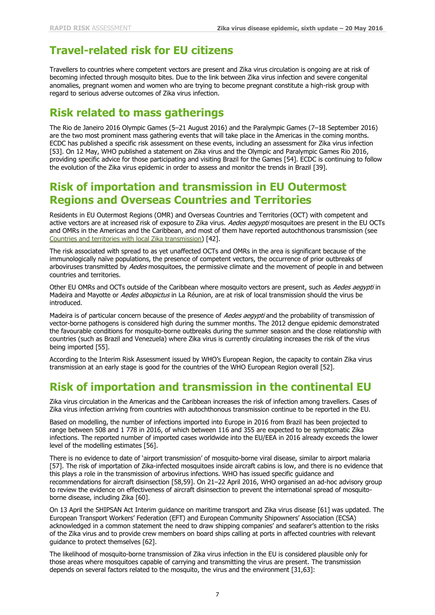## **Travel-related risk for EU citizens**

Travellers to countries where competent vectors are present and Zika virus circulation is ongoing are at risk of becoming infected through mosquito bites. Due to the link between Zika virus infection and severe congenital anomalies, pregnant women and women who are trying to become pregnant constitute a high-risk group with regard to serious adverse outcomes of Zika virus infection.

### **Risk related to mass gatherings**

The Rio de Janeiro 2016 Olympic Games (5–21 August 2016) and the Paralympic Games (7–18 September 2016) are the two most prominent mass gathering events that will take place in the Americas in the coming months. ECDC has published a specific risk assessment on these events, including an assessment for Zika virus infection [53]. On 12 May, WHO published a statement on Zika virus and the Olympic and Paralympic Games Rio 2016, providing specific advice for those participating and visiting Brazil for the Games [54]. ECDC is continuing to follow the evolution of the Zika virus epidemic in order to assess and monitor the trends in Brazil [39].

### **Risk of importation and transmission in EU Outermost Regions and Overseas Countries and Territories**

Residents in EU Outermost Regions (OMR) and Overseas Countries and Territories (OCT) with competent and active vectors are at increased risk of exposure to Zika virus. Aedes aegypti mosquitoes are present in the EU OCTs and OMRs in the Americas and the Caribbean, and most of them have reported autochthonous transmission (see [Countries and territories with local Zika transmission\)](http://ecdc.europa.eu/en/healthtopics/zika_virus_infection/zika-outbreak/Pages/Zika-countries-with-transmission.aspx) [42].

The risk associated with spread to as yet unaffected OCTs and OMRs in the area is significant because of the immunologically naïve populations, the presence of competent vectors, the occurrence of prior outbreaks of arboviruses transmitted by Aedes mosquitoes, the permissive climate and the movement of people in and between countries and territories.

Other EU OMRs and OCTs outside of the Caribbean where mosquito vectors are present, such as Aedes aegypti in Madeira and Mayotte or *Aedes albopictus* in La Réunion, are at risk of local transmission should the virus be introduced.

Madeira is of particular concern because of the presence of Aedes aegypti and the probability of transmission of vector-borne pathogens is considered high during the summer months. The 2012 dengue epidemic demonstrated the favourable conditions for mosquito-borne outbreaks during the summer season and the close relationship with countries (such as Brazil and Venezuela) where Zika virus is currently circulating increases the risk of the virus being imported [55].

According to the Interim Risk Assessment issued by WHO's European Region, the capacity to contain Zika virus transmission at an early stage is good for the countries of the WHO European Region overall [52].

## **Risk of importation and transmission in the continental EU**

Zika virus circulation in the Americas and the Caribbean increases the risk of infection among travellers. Cases of Zika virus infection arriving from countries with autochthonous transmission continue to be reported in the EU.

Based on modelling, the number of infections imported into Europe in 2016 from Brazil has been projected to range between 508 and 1 778 in 2016, of which between 116 and 355 are expected to be symptomatic Zika infections. The reported number of imported cases worldwide into the EU/EEA in 2016 already exceeds the lower level of the modelling estimates [56].

There is no evidence to date of 'airport transmission' of mosquito-borne viral disease, similar to airport malaria [57]. The risk of importation of Zika-infected mosquitoes inside aircraft cabins is low, and there is no evidence that this plays a role in the transmission of arbovirus infections. WHO has issued specific guidance and recommendations for aircraft disinsection [58,59]. On 21–22 April 2016, WHO organised an ad-hoc advisory group to review the evidence on effectiveness of aircraft disinsection to prevent the international spread of mosquitoborne disease, including Zika [60].

On 13 April the SHIPSAN Act Interim guidance on maritime transport and Zika virus disease [61] was updated. The European Transport Workers' Federation (EFT) and European Community Shipowners' Association (ECSA) acknowledged in a common statement the need to draw shipping companies' and seafarer's attention to the risks of the Zika virus and to provide crew members on board ships calling at ports in affected countries with relevant guidance to protect themselves [62].

The likelihood of mosquito-borne transmission of Zika virus infection in the EU is considered plausible only for those areas where mosquitoes capable of carrying and transmitting the virus are present. The transmission depends on several factors related to the mosquito, the virus and the environment [31,63]: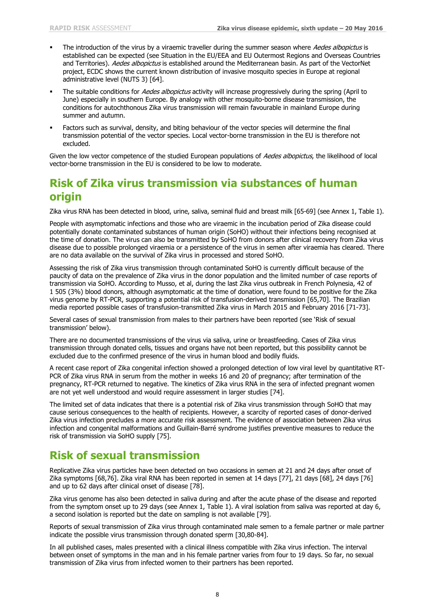- The introduction of the virus by a viraemic traveller during the summer season where Aedes albopictus is established can be expected (see Situation in the EU/EEA and EU Outermost Regions and Overseas Countries and Territories). Aedes albopictus is established around the Mediterranean basin. As part of the VectorNet project, ECDC shows the current known distribution of invasive mosquito species in Europe at regional administrative level (NUTS 3) [64].
- The suitable conditions for Aedes albopictus activity will increase progressively during the spring (April to June) especially in southern Europe. By analogy with other mosquito-borne disease transmission, the conditions for autochthonous Zika virus transmission will remain favourable in mainland Europe during summer and autumn.
- Factors such as survival, density, and biting behaviour of the vector species will determine the final transmission potential of the vector species. Local vector-borne transmission in the EU is therefore not excluded.

Given the low vector competence of the studied European populations of Aedes albopictus, the likelihood of local vector-borne transmission in the EU is considered to be low to moderate.

### **Risk of Zika virus transmission via substances of human origin**

Zika virus RNA has been detected in blood, urine, saliva, seminal fluid and breast milk [65-69] (see Annex 1, Table 1).

People with asymptomatic infections and those who are viraemic in the incubation period of Zika disease could potentially donate contaminated substances of human origin (SoHO) without their infections being recognised at the time of donation. The virus can also be transmitted by SoHO from donors after clinical recovery from Zika virus disease due to possible prolonged viraemia or a persistence of the virus in semen after viraemia has cleared. There are no data available on the survival of Zika virus in processed and stored SoHO.

Assessing the risk of Zika virus transmission through contaminated SoHO is currently difficult because of the paucity of data on the prevalence of Zika virus in the donor population and the limited number of case reports of transmission via SoHO. According to Musso, et al, during the last Zika virus outbreak in French Polynesia, 42 of 1 505 (3%) blood donors, although asymptomatic at the time of donation, were found to be positive for the Zika virus genome by RT-PCR, supporting a potential risk of transfusion-derived transmission [65,70]. The Brazilian media reported possible cases of transfusion-transmitted Zika virus in March 2015 and February 2016 [71-73].

Several cases of sexual transmission from males to their partners have been reported (see 'Risk of sexual transmission' below).

There are no documented transmissions of the virus via saliva, urine or breastfeeding. Cases of Zika virus transmission through donated cells, tissues and organs have not been reported, but this possibility cannot be excluded due to the confirmed presence of the virus in human blood and bodily fluids.

A recent case report of Zika congenital infection showed a prolonged detection of low viral level by quantitative RT-PCR of Zika virus RNA in serum from the mother in weeks 16 and 20 of pregnancy; after termination of the pregnancy, RT-PCR returned to negative. The kinetics of Zika virus RNA in the sera of infected pregnant women are not yet well understood and would require assessment in larger studies [74].

The limited set of data indicates that there is a potential risk of Zika virus transmission through SoHO that may cause serious consequences to the health of recipients. However, a scarcity of reported cases of donor-derived Zika virus infection precludes a more accurate risk assessment. The evidence of association between Zika virus infection and congenital malformations and Guillain-Barré syndrome justifies preventive measures to reduce the risk of transmission via SoHO supply [75].

## **Risk of sexual transmission**

Replicative Zika virus particles have been detected on two occasions in semen at 21 and 24 days after onset of Zika symptoms [68,76]. Zika viral RNA has been reported in semen at 14 days [77], 21 days [68], 24 days [76] and up to 62 days after clinical onset of disease [78].

Zika virus genome has also been detected in saliva during and after the acute phase of the disease and reported from the symptom onset up to 29 days (see Annex 1, Table 1). A viral isolation from saliva was reported at day 6, a second isolation is reported but the date on sampling is not available [79].

Reports of sexual transmission of Zika virus through contaminated male semen to a female partner or male partner indicate the possible virus transmission through donated sperm [30,80-84].

In all published cases, males presented with a clinical illness compatible with Zika virus infection. The interval between onset of symptoms in the man and in his female partner varies from four to 19 days. So far, no sexual transmission of Zika virus from infected women to their partners has been reported.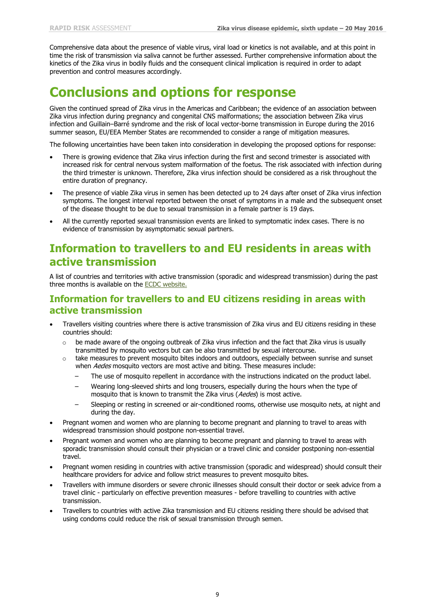Comprehensive data about the presence of viable virus, viral load or kinetics is not available, and at this point in time the risk of transmission via saliva cannot be further assessed. Further comprehensive information about the kinetics of the Zika virus in bodily fluids and the consequent clinical implication is required in order to adapt prevention and control measures accordingly.

## **Conclusions and options for response**

Given the continued spread of Zika virus in the Americas and Caribbean; the evidence of an association between Zika virus infection during pregnancy and congenital CNS malformations; the association between Zika virus infection and Guillain–Barré syndrome and the risk of local vector-borne transmission in Europe during the 2016 summer season, EU/EEA Member States are recommended to consider a range of mitigation measures.

The following uncertainties have been taken into consideration in developing the proposed options for response:

- There is growing evidence that Zika virus infection during the first and second trimester is associated with increased risk for central nervous system malformation of the foetus. The risk associated with infection during the third trimester is unknown. Therefore, Zika virus infection should be considered as a risk throughout the entire duration of pregnancy.
- The presence of viable Zika virus in semen has been detected up to 24 days after onset of Zika virus infection symptoms. The longest interval reported between the onset of symptoms in a male and the subsequent onset of the disease thought to be due to sexual transmission in a female partner is 19 days.
- All the currently reported sexual transmission events are linked to symptomatic index cases. There is no evidence of transmission by asymptomatic sexual partners.

### **Information to travellers to and EU residents in areas with active transmission**

A list of countries and territories with active transmission (sporadic and widespread transmission) during the past three months is available on the **ECDC** website.

#### **Information for travellers to and EU citizens residing in areas with active transmission**

- Travellers visiting countries where there is active transmission of Zika virus and EU citizens residing in these countries should:
	- $\circ$  be made aware of the ongoing outbreak of Zika virus infection and the fact that Zika virus is usually transmitted by mosquito vectors but can be also transmitted by sexual intercourse.
	- $\circ$  take measures to prevent mosquito bites indoors and outdoors, especially between sunrise and sunset when Aedes mosquito vectors are most active and biting. These measures include:
		- The use of mosquito repellent in accordance with the instructions indicated on the product label.
		- − Wearing long-sleeved shirts and long trousers, especially during the hours when the type of mosquito that is known to transmit the Zika virus (Aedes) is most active.
		- Sleeping or resting in screened or air-conditioned rooms, otherwise use mosquito nets, at night and during the day.
- Pregnant women and women who are planning to become pregnant and planning to travel to areas with widespread transmission should postpone non-essential travel.
- Pregnant women and women who are planning to become pregnant and planning to travel to areas with sporadic transmission should consult their physician or a travel clinic and consider postponing non-essential travel.
- Pregnant women residing in countries with active transmission (sporadic and widespread) should consult their healthcare providers for advice and follow strict measures to prevent mosquito bites.
- Travellers with immune disorders or severe chronic illnesses should consult their doctor or seek advice from a travel clinic - particularly on effective prevention measures - before travelling to countries with active transmission.
- Travellers to countries with active Zika transmission and EU citizens residing there should be advised that using condoms could reduce the risk of sexual transmission through semen.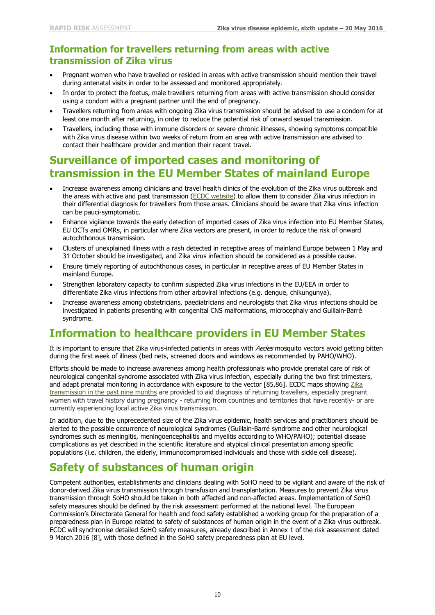### **Information for travellers returning from areas with active transmission of Zika virus**

- Pregnant women who have travelled or resided in areas with active transmission should mention their travel during antenatal visits in order to be assessed and monitored appropriately.
- In order to protect the foetus, male travellers returning from areas with active transmission should consider using a condom with a pregnant partner until the end of pregnancy.
- Travellers returning from areas with ongoing Zika virus transmission should be advised to use a condom for at least one month after returning, in order to reduce the potential risk of onward sexual transmission.
- Travellers, including those with immune disorders or severe chronic illnesses, showing symptoms compatible with Zika virus disease within two weeks of return from an area with active transmission are advised to contact their healthcare provider and mention their recent travel.

### **Surveillance of imported cases and monitoring of transmission in the EU Member States of mainland Europe**

- Increase awareness among clinicians and travel health clinics of the evolution of the Zika virus outbreak and the areas with active and past transmission [\(ECDC website\)](http://www.ecdc.europa.eu/en/healthtopics/zika_virus_infection/zika-outbreak/Pages/Zika-countries-with-transmission.aspx) to allow them to consider Zika virus infection in their differential diagnosis for travellers from those areas. Clinicians should be aware that Zika virus infection can be pauci-symptomatic.
- Enhance vigilance towards the early detection of imported cases of Zika virus infection into EU Member States, EU OCTs and OMRs, in particular where Zika vectors are present, in order to reduce the risk of onward autochthonous transmission.
- Clusters of unexplained illness with a rash detected in receptive areas of mainland Europe between 1 May and 31 October should be investigated, and Zika virus infection should be considered as a possible cause.
- Ensure timely reporting of autochthonous cases, in particular in receptive areas of EU Member States in mainland Europe.
- Strengthen laboratory capacity to confirm suspected Zika virus infections in the EU/EEA in order to differentiate Zika virus infections from other arboviral infections (e.g. dengue, chikungunya).
- Increase awareness among obstetricians, paediatricians and neurologists that Zika virus infections should be investigated in patients presenting with congenital CNS malformations, microcephaly and Guillain-Barré syndrome.

## **Information to healthcare providers in EU Member States**

It is important to ensure that Zika virus-infected patients in areas with Aedes mosquito vectors avoid getting bitten during the first week of illness (bed nets, screened doors and windows as recommended by PAHO/WHO).

Efforts should be made to increase awareness among health professionals who provide prenatal care of risk of neurological congenital syndrome associated with Zika virus infection, especially during the two first trimesters, and adapt prenatal monitoring in accordance with exposure to the vector [85,86]. ECDC maps showing Zika [transmission in the past nine](http://www.ecdc.europa.eu/en/healthtopics/zika_virus_infection/zika-outbreak/Pages/Zika-transmission-past-9-months.aspx) months are provided to aid diagnosis of returning travellers, especially pregnant women with travel history during pregnancy - returning from countries and territories that have recently- or are currently experiencing local active Zika virus transmission.

In addition, due to the unprecedented size of the Zika virus epidemic, health services and practitioners should be alerted to the possible occurrence of neurological syndromes (Guillain-Barré syndrome and other neurological syndromes such as meningitis, meningoencephalitis and myelitis according to WHO/PAHO); potential disease complications as yet described in the scientific literature and atypical clinical presentation among specific populations (i.e. children, the elderly, immunocompromised individuals and those with sickle cell disease).

## **Safety of substances of human origin**

Competent authorities, establishments and clinicians dealing with SoHO need to be vigilant and aware of the risk of donor-derived Zika virus transmission through transfusion and transplantation. Measures to prevent Zika virus transmission through SoHO should be taken in both affected and non-affected areas. Implementation of SoHO safety measures should be defined by the risk assessment performed at the national level. The European Commission's Directorate General for health and food safety established a working group for the preparation of a preparedness plan in Europe related to safety of substances of human origin in the event of a Zika virus outbreak. ECDC will synchronise detailed SoHO safety measures, already described in Annex 1 of the risk assessment dated 9 March 2016 [8], with those defined in the SoHO safety preparedness plan at EU level.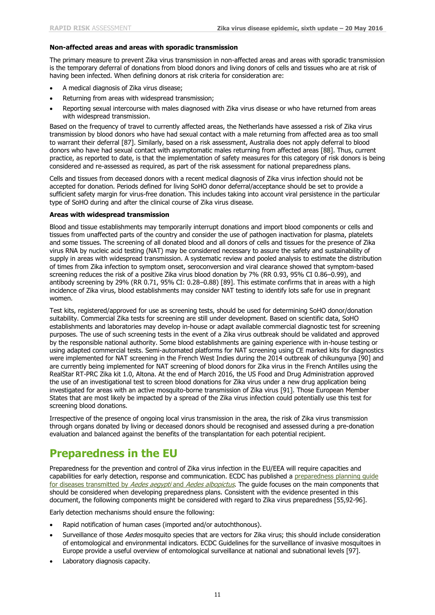#### **Non-affected areas and areas with sporadic transmission**

The primary measure to prevent Zika virus transmission in non-affected areas and areas with sporadic transmission is the temporary deferral of donations from blood donors and living donors of cells and tissues who are at risk of having been infected. When defining donors at risk criteria for consideration are:

- A medical diagnosis of Zika virus disease;
- Returning from areas with widespread transmission;
- Reporting sexual intercourse with males diagnosed with Zika virus disease or who have returned from areas with widespread transmission.

Based on the frequency of travel to currently affected areas, the Netherlands have assessed a risk of Zika virus transmission by blood donors who have had sexual contact with a male returning from affected area as too small to warrant their deferral [87]. Similarly, based on a risk assessment, Australia does not apply deferral to blood donors who have had sexual contact with asymptomatic males returning from affected areas [88]. Thus, current practice, as reported to date, is that the implementation of safety measures for this category of risk donors is being considered and re-assessed as required, as part of the risk assessment for national preparedness plans.

Cells and tissues from deceased donors with a recent medical diagnosis of Zika virus infection should not be accepted for donation. Periods defined for living SoHO donor deferral/acceptance should be set to provide a sufficient safety margin for virus-free donation. This includes taking into account viral persistence in the particular type of SoHO during and after the clinical course of Zika virus disease.

#### **Areas with widespread transmission**

Blood and tissue establishments may temporarily interrupt donations and import blood components or cells and tissues from unaffected parts of the country and consider the use of pathogen inactivation for plasma, platelets and some tissues. The screening of all donated blood and all donors of cells and tissues for the presence of Zika virus RNA by nucleic acid testing (NAT) may be considered necessary to assure the safety and sustainability of supply in areas with widespread transmission. A systematic review and pooled analysis to estimate the distribution of times from Zika infection to symptom onset, seroconversion and viral clearance showed that symptom-based screening reduces the risk of a positive Zika virus blood donation by 7% (RR 0.93, 95% CI 0.86–0.99), and antibody screening by 29% (RR 0.71, 95% CI: 0.28–0.88) [89]. This estimate confirms that in areas with a high incidence of Zika virus, blood establishments may consider NAT testing to identify lots safe for use in pregnant women.

Test kits, registered/approved for use as screening tests, should be used for determining SoHO donor/donation suitability. Commercial Zika tests for screening are still under development. Based on scientific data, SoHO establishments and laboratories may develop in-house or adapt available commercial diagnostic test for screening purposes. The use of such screening tests in the event of a Zika virus outbreak should be validated and approved by the responsible national authority. Some blood establishments are gaining experience with in-house testing or using adapted commercial tests. Semi-automated platforms for NAT screening using CE marked kits for diagnostics were implemented for NAT screening in the French West Indies during the 2014 outbreak of chikungunya [90] and are currently being implemented for NAT screening of blood donors for Zika virus in the French Antilles using the RealStar RT-PRC Zika kit 1.0, Altona. At the end of March 2016, the US Food and Drug Administration approved the use of an investigational test to screen blood donations for Zika virus under a new drug application being investigated for areas with an active mosquito-borne transmission of Zika virus [91]. Those European Member States that are most likely be impacted by a spread of the Zika virus infection could potentially use this test for screening blood donations.

Irrespective of the presence of ongoing local virus transmission in the area, the risk of Zika virus transmission through organs donated by living or deceased donors should be recognised and assessed during a pre-donation evaluation and balanced against the benefits of the transplantation for each potential recipient.

## **Preparedness in the EU**

Preparedness for the prevention and control of Zika virus infection in the EU/EEA will require capacities and capabilities for early detection, response and communication. ECDC has published a [preparedness planning guide](http://ecdc.europa.eu/en/publications/Publications/zika-preparedness-planning-guide-aedes-mosquitoes.pdf)  [for diseases transmitted by](http://ecdc.europa.eu/en/publications/Publications/zika-preparedness-planning-guide-aedes-mosquitoes.pdf) Aedes aegypti and Aedes albopictus. The guide focuses on the main components that should be considered when developing preparedness plans. Consistent with the evidence presented in this document, the following components might be considered with regard to Zika virus preparedness [55,92-96].

Early detection mechanisms should ensure the following:

- Rapid notification of human cases (imported and/or autochthonous).
- Surveillance of those Aedes mosquito species that are vectors for Zika virus; this should include consideration of entomological and environmental indicators. ECDC Guidelines for the surveillance of invasive mosquitoes in Europe provide a useful overview of entomological surveillance at national and subnational levels [97].
- Laboratory diagnosis capacity.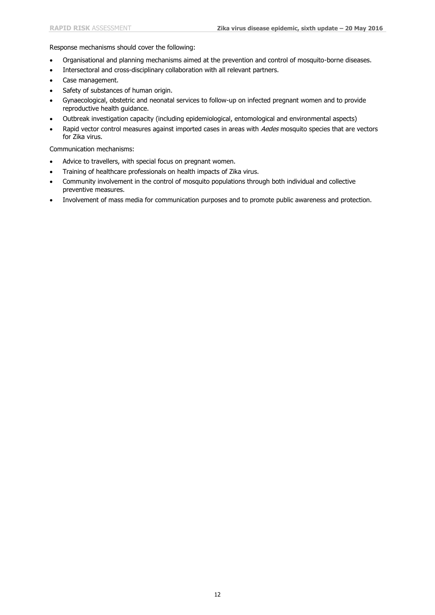Response mechanisms should cover the following:

- Organisational and planning mechanisms aimed at the prevention and control of mosquito-borne diseases.
- Intersectoral and cross-disciplinary collaboration with all relevant partners.
- Case management.
- Safety of substances of human origin.
- Gynaecological, obstetric and neonatal services to follow-up on infected pregnant women and to provide reproductive health guidance.
- Outbreak investigation capacity (including epidemiological, entomological and environmental aspects)
- Rapid vector control measures against imported cases in areas with Aedes mosquito species that are vectors for Zika virus.

Communication mechanisms:

- Advice to travellers, with special focus on pregnant women.
- Training of healthcare professionals on health impacts of Zika virus.
- Community involvement in the control of mosquito populations through both individual and collective preventive measures.
- Involvement of mass media for communication purposes and to promote public awareness and protection.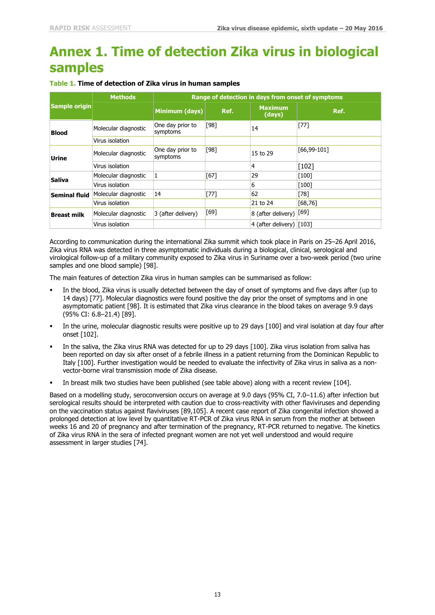# **Annex 1. Time of detection Zika virus in biological samples**

| Sample origin        | <b>Methods</b>       | Range of detection in days from onset of symptoms |        |                              |                |
|----------------------|----------------------|---------------------------------------------------|--------|------------------------------|----------------|
|                      |                      | Minimum (days)                                    | Ref.   | <b>Maximum</b><br>(days)     | Ref.           |
| <b>Blood</b>         | Molecular diagnostic | One day prior to<br>symptoms                      | [98]   | 14                           | $[77]$         |
|                      | Virus isolation      |                                                   |        |                              |                |
| Urine                | Molecular diagnostic | One day prior to<br>symptoms                      | $[98]$ | 15 to 29                     | $[66, 99-101]$ |
|                      | Virus isolation      |                                                   |        | 4                            | $[102]$        |
| <b>Saliva</b>        | Molecular diagnostic | 1                                                 | [67]   | 29                           | [100]          |
|                      | Virus isolation      |                                                   |        | 6                            | $[100]$        |
| <b>Seminal fluid</b> | Molecular diagnostic | 14                                                | $[77]$ | 62                           | $[78]$         |
|                      | Virus isolation      |                                                   |        | 21 to 24                     | [68, 76]       |
| <b>Breast milk</b>   | Molecular diagnostic | 3 (after delivery)                                | $[69]$ | $ 8$ (after delivery) $[69]$ |                |
|                      | Virus isolation      |                                                   |        | 4 (after delivery) $ 103 $   |                |

#### **Table 1. Time of detection of Zika virus in human samples**

According to communication during the international Zika summit which took place in Paris on 25–26 April 2016, Zika virus RNA was detected in three asymptomatic individuals during a biological, clinical, serological and virological follow-up of a military community exposed to Zika virus in Suriname over a two-week period (two urine samples and one blood sample) [98].

The main features of detection Zika virus in human samples can be summarised as follow:

- In the blood, Zika virus is usually detected between the day of onset of symptoms and five days after (up to 14 days) [77]. Molecular diagnostics were found positive the day prior the onset of symptoms and in one asymptomatic patient [98]. It is estimated that Zika virus clearance in the blood takes on average 9.9 days (95% CI: 6.8–21.4) [89].
- In the urine, molecular diagnostic results were positive up to 29 days [100] and viral isolation at day four after onset [102].
- In the saliva, the Zika virus RNA was detected for up to 29 days [100]. Zika virus isolation from saliva has been reported on day six after onset of a febrile illness in a patient returning from the Dominican Republic to Italy [100]. Further investigation would be needed to evaluate the infectivity of Zika virus in saliva as a nonvector-borne viral transmission mode of Zika disease.
- In breast milk two studies have been published (see table above) along with a recent review [104].

Based on a modelling study, seroconversion occurs on average at 9.0 days (95% CI, 7.0–11.6) after infection but serological results should be interpreted with caution due to cross-reactivity with other flaviviruses and depending on the vaccination status against flaviviruses [89,105]. A recent case report of Zika congenital infection showed a prolonged detection at low level by quantitative RT-PCR of Zika virus RNA in serum from the mother at between weeks 16 and 20 of pregnancy and after termination of the pregnancy, RT-PCR returned to negative. The kinetics of Zika virus RNA in the sera of infected pregnant women are not yet well understood and would require assessment in larger studies [74].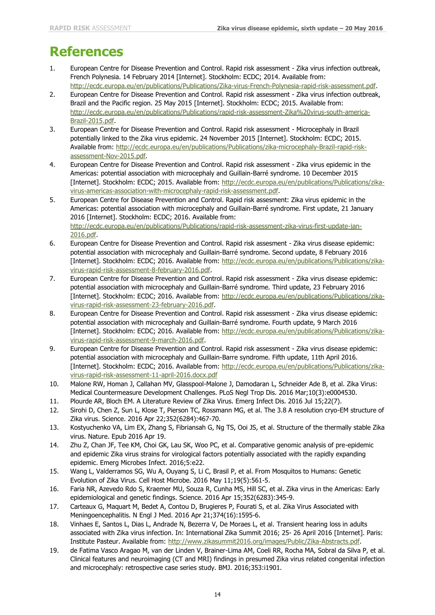## **References**

- 1. European Centre for Disease Prevention and Control. Rapid risk assessment Zika virus infection outbreak, French Polynesia. 14 February 2014 [Internet]. Stockholm: ECDC; 2014. Available from: [http://ecdc.europa.eu/en/publications/Publications/Zika-virus-French-Polynesia-rapid-risk-assessment.pdf.](http://ecdc.europa.eu/en/publications/Publications/Zika-virus-French-Polynesia-rapid-risk-assessment.pdf)
- 2. European Centre for Disease Prevention and Control. Rapid risk assessment Zika virus infection outbreak, Brazil and the Pacific region. 25 May 2015 [Internet]. Stockholm: ECDC; 2015. Available from: [http://ecdc.europa.eu/en/publications/Publications/rapid-risk-assessment-Zika%20virus-south-america-](http://ecdc.europa.eu/en/publications/Publications/rapid-risk-assessment-Zika%20virus-south-america-Brazil-2015.pdf)[Brazil-2015.pdf.](http://ecdc.europa.eu/en/publications/Publications/rapid-risk-assessment-Zika%20virus-south-america-Brazil-2015.pdf)
- 3. European Centre for Disease Prevention and Control. Rapid risk assessment Microcephaly in Brazil potentially linked to the Zika virus epidemic. 24 November 2015 [Internet]. Stockholm: ECDC; 2015. Available from: [http://ecdc.europa.eu/en/publications/Publications/zika-microcephaly-Brazil-rapid-risk](http://ecdc.europa.eu/en/publications/Publications/zika-microcephaly-Brazil-rapid-risk-assessment-Nov-2015.pdf)[assessment-Nov-2015.pdf.](http://ecdc.europa.eu/en/publications/Publications/zika-microcephaly-Brazil-rapid-risk-assessment-Nov-2015.pdf)
- 4. European Centre for Disease Prevention and Control. Rapid risk assessment Zika virus epidemic in the Americas: potential association with microcephaly and Guillain-Barré syndrome. 10 December 2015 [Internet]. Stockholm: ECDC; 2015. Available from: [http://ecdc.europa.eu/en/publications/Publications/zika](http://ecdc.europa.eu/en/publications/Publications/zika-virus-americas-association-with-microcephaly-rapid-risk-assessment.pdf)[virus-americas-association-with-microcephaly-rapid-risk-assessment.pdf.](http://ecdc.europa.eu/en/publications/Publications/zika-virus-americas-association-with-microcephaly-rapid-risk-assessment.pdf)
- 5. European Centre for Disease Prevention and Control. Rapid risk assesment: Zika virus epidemic in the Americas: potential association with microcephaly and Guillain-Barré syndrome. First update, 21 January 2016 [Internet]. Stockholm: ECDC; 2016. Available from: [http://ecdc.europa.eu/en/publications/Publications/rapid-risk-assessment-zika-virus-first-update-jan-](http://ecdc.europa.eu/en/publications/Publications/rapid-risk-assessment-zika-virus-first-update-jan-2016.pdf)[2016.pdf.](http://ecdc.europa.eu/en/publications/Publications/rapid-risk-assessment-zika-virus-first-update-jan-2016.pdf)
- 6. European Centre for Disease Prevention and Control. Rapid risk assesment Zika virus disease epidemic: potential association with microcephaly and Guillain-Barré syndrome. Second update, 8 February 2016 [Internet]. Stockholm: ECDC; 2016. Available from: [http://ecdc.europa.eu/en/publications/Publications/zika](http://ecdc.europa.eu/en/publications/Publications/zika-virus-rapid-risk-assessment-8-february-2016.pdf)[virus-rapid-risk-assessment-8-february-2016.pdf.](http://ecdc.europa.eu/en/publications/Publications/zika-virus-rapid-risk-assessment-8-february-2016.pdf)
- 7. European Centre for Disease Prevention and Control. Rapid risk assessment Zika virus disease epidemic: potential association with microcephaly and Guillain-Barré syndrome. Third update, 23 February 2016 [Internet]. Stockholm: ECDC; 2016. Available from: [http://ecdc.europa.eu/en/publications/Publications/zika](http://ecdc.europa.eu/en/publications/Publications/zika-virus-rapid-risk-assessment-23-february-2016.pdf)[virus-rapid-risk-assessment-23-february-2016.pdf.](http://ecdc.europa.eu/en/publications/Publications/zika-virus-rapid-risk-assessment-23-february-2016.pdf)
- 8. European Centre for Disease Prevention and Control. Rapid risk assessment Zika virus disease epidemic: potential association with microcephaly and Guillain-Barré syndrome. Fourth update, 9 March 2016 [Internet]. Stockholm: ECDC; 2016. Available from: [http://ecdc.europa.eu/en/publications/Publications/zika](http://ecdc.europa.eu/en/publications/Publications/zika-virus-rapid-risk-assessment-9-march-2016.pdf)[virus-rapid-risk-assessment-9-march-2016.pdf.](http://ecdc.europa.eu/en/publications/Publications/zika-virus-rapid-risk-assessment-9-march-2016.pdf)
- 9. European Centre for Disease Prevention and Control. Rapid risk assessment Zika virus disease epidemic: potential association with microcephaly and Guillain-Barre syndrome. Fifth update, 11th April 2016. [Internet]. Stockholm: ECDC; 2016. Available from: [http://ecdc.europa.eu/en/publications/Publications/zika](http://ecdc.europa.eu/en/publications/Publications/zika-virus-rapid-risk-assessment-11-april-2016.docx.pdf)[virus-rapid-risk-assessment-11-april-2016.docx.pdf](http://ecdc.europa.eu/en/publications/Publications/zika-virus-rapid-risk-assessment-11-april-2016.docx.pdf)
- 10. Malone RW, Homan J, Callahan MV, Glasspool-Malone J, Damodaran L, Schneider Ade B, et al. Zika Virus: Medical Countermeasure Development Challenges. PLoS Negl Trop Dis. 2016 Mar;10(3):e0004530.
- 11. Plourde AR, Bloch EM. A Literature Review of Zika Virus. Emerg Infect Dis. 2016 Jul 15;22(7).
- 12. Sirohi D, Chen Z, Sun L, Klose T, Pierson TC, Rossmann MG, et al. The 3.8 A resolution cryo-EM structure of Zika virus. Science. 2016 Apr 22;352(6284):467-70.
- 13. Kostyuchenko VA, Lim EX, Zhang S, Fibriansah G, Ng TS, Ooi JS, et al. Structure of the thermally stable Zika virus. Nature. Epub 2016 Apr 19.
- 14. Zhu Z, Chan JF, Tee KM, Choi GK, Lau SK, Woo PC, et al. Comparative genomic analysis of pre-epidemic and epidemic Zika virus strains for virological factors potentially associated with the rapidly expanding epidemic. Emerg Microbes Infect. 2016;5:e22.
- 15. Wang L, Valderramos SG, Wu A, Ouyang S, Li C, Brasil P, et al. From Mosquitos to Humans: Genetic Evolution of Zika Virus. Cell Host Microbe. 2016 May 11;19(5):561-5.
- 16. Faria NR, Azevedo Rdo S, Kraemer MU, Souza R, Cunha MS, Hill SC, et al. Zika virus in the Americas: Early epidemiological and genetic findings. Science. 2016 Apr 15;352(6283):345-9.
- 17. Carteaux G, Maquart M, Bedet A, Contou D, Brugieres P, Fourati S, et al. Zika Virus Associated with Meningoencephalitis. N Engl J Med. 2016 Apr 21;374(16):1595-6.
- 18. Vinhaes E, Santos L, Dias L, Andrade N, Bezerra V, De Moraes L, et al. Transient hearing loss in adults associated with Zika virus infection. In: International Zika Summit 2016; 25- 26 April 2016 [Internet]. Paris: Institute Pasteur. Available from: [http://www.zikasummit2016.org/images/Public/Zika-Abstracts.pdf.](http://www.zikasummit2016.org/images/Public/Zika-Abstracts.pdf)
- 19. de Fatima Vasco Aragao M, van der Linden V, Brainer-Lima AM, Coeli RR, Rocha MA, Sobral da Silva P, et al. Clinical features and neuroimaging (CT and MRI) findings in presumed Zika virus related congenital infection and microcephaly: retrospective case series study. BMJ. 2016;353:i1901.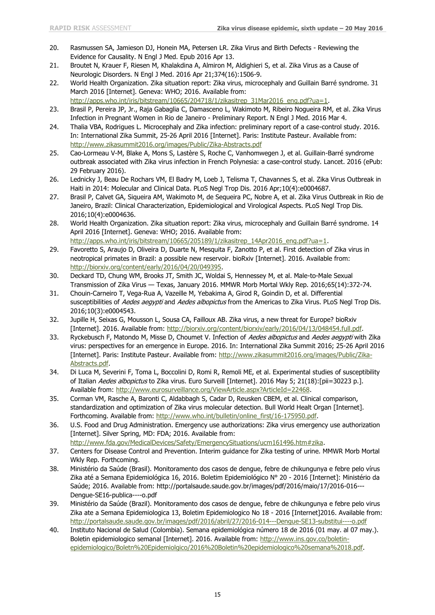- 20. Rasmussen SA, Jamieson DJ, Honein MA, Petersen LR. Zika Virus and Birth Defects Reviewing the Evidence for Causality. N Engl J Med. Epub 2016 Apr 13.
- 21. Broutet N, Krauer F, Riesen M, Khalakdina A, Almiron M, Aldighieri S, et al. Zika Virus as a Cause of Neurologic Disorders. N Engl J Med. 2016 Apr 21;374(16):1506-9.
- 22. World Health Organization. Zika situation report: Zika virus, microcephaly and Guillain Barré syndrome. 31 March 2016 [Internet]. Geneva: WHO; 2016. Available from:
- [http://apps.who.int/iris/bitstream/10665/204718/1/zikasitrep\\_31Mar2016\\_eng.pdf?ua=1.](http://apps.who.int/iris/bitstream/10665/204718/1/zikasitrep_31Mar2016_eng.pdf?ua=1)
- 23. Brasil P, Pereira JP, Jr., Raja Gabaglia C, Damasceno L, Wakimoto M, Ribeiro Nogueira RM, et al. Zika Virus Infection in Pregnant Women in Rio de Janeiro - Preliminary Report. N Engl J Med. 2016 Mar 4.
- 24. Thalia VBA, Rodrigues L. Microcephaly and Zika infection: preliminary report of a case-control study. 2016. In: International Zika Summit, 25-26 April 2016 [Internet]. Paris: Institute Pasteur. Available from: <http://www.zikasummit2016.org/images/Public/Zika-Abstracts.pdf>
- 25. Cao-Lormeau V-M, Blake A, Mons S, Lastère S, Roche C, Vanhomwegen J, et al. Guillain-Barré syndrome outbreak associated with Zika virus infection in French Polynesia: a case-control study. Lancet. 2016 (ePub: 29 February 2016).
- 26. Lednicky J, Beau De Rochars VM, El Badry M, Loeb J, Telisma T, Chavannes S, et al. Zika Virus Outbreak in Haiti in 2014: Molecular and Clinical Data. PLoS Negl Trop Dis. 2016 Apr;10(4):e0004687.
- 27. Brasil P, Calvet GA, Siqueira AM, Wakimoto M, de Sequeira PC, Nobre A, et al. Zika Virus Outbreak in Rio de Janeiro, Brazil: Clinical Characterization, Epidemiological and Virological Aspects. PLoS Negl Trop Dis. 2016;10(4):e0004636.
- 28. World Health Organization. Zika situation report: Zika virus, microcephaly and Guillain Barré syndrome. 14 April 2016 [Internet]. Geneva: WHO; 2016. Available from: [http://apps.who.int/iris/bitstream/10665/205189/1/zikasitrep\\_14Apr2016\\_eng.pdf?ua=1.](http://apps.who.int/iris/bitstream/10665/205189/1/zikasitrep_14Apr2016_eng.pdf?ua=1)
- 29. Favoretto S, Araujo D, Oliveira D, Duarte N, Mesquita F, Zanotto P, et al. First detection of Zika virus in neotropical primates in Brazil: a possible new reservoir. bioRxiv [Internet]. 2016. Available from: [http://biorxiv.org/content/early/2016/04/20/049395.](http://biorxiv.org/content/early/2016/04/20/049395)
- 30. Deckard TD, Chung WM, Brooks JT, Smith JC, Woldai S, Hennessey M, et al. Male-to-Male Sexual Transmission of Zika Virus — Texas, January 2016. MMWR Morb Mortal Wkly Rep. 2016;65(14):372-74.
- 31. Chouin-Carneiro T, Vega-Rua A, Vazeille M, Yebakima A, Girod R, Goindin D, et al. Differential susceptibilities of Aedes aegypti and Aedes albopictus from the Americas to Zika Virus. PLoS Negl Trop Dis. 2016;10(3):e0004543.
- 32. Jupille H, Seixas G, Mousson L, Sousa CA, Failloux AB. Zika virus, a new threat for Europe? bioRxiv [Internet]. 2016. Available from: [http://biorxiv.org/content/biorxiv/early/2016/04/13/048454.full.pdf.](http://biorxiv.org/content/biorxiv/early/2016/04/13/048454.full.pdf)
- 33. Ryckebusch F, Matondo M, Misse D, Choumet V. Infection of Aedes albopictus and Aedes aegypti with Zika virus: perspectives for an emergence in Europe. 2016. In: International Zika Summit 2016; 25-26 April 2016 [Internet]. Paris: Institute Pasteur. Available from: [http://www.zikasummit2016.org/images/Public/Zika-](http://www.zikasummit2016.org/images/Public/Zika-Abstracts.pdf)[Abstracts.pdf.](http://www.zikasummit2016.org/images/Public/Zika-Abstracts.pdf)
- 34. Di Luca M, Severini F, Toma L, Boccolini D, Romi R, Remoli ME, et al. Experimental studies of susceptibility of Italian Aedes albopictus to Zika virus. Euro Surveill [Internet]. 2016 May 5; 21(18):[pii=30223 p.]. Available from: [http://www.eurosurveillance.org/ViewArticle.aspx?ArticleId=22468.](http://www.eurosurveillance.org/ViewArticle.aspx?ArticleId=22468)
- 35. Corman VM, Rasche A, Baronti C, Aldabbagh S, Cadar D, Reusken CBEM, et al. Clinical comparison, standardization and optimization of Zika virus molecular detection. Bull World Healt Organ [Internet]. Forthcoming. Available from: [http://www.who.int/bulletin/online\\_first/16-175950.pdf.](http://www.who.int/bulletin/online_first/16-175950.pdf)
- 36. U.S. Food and Drug Administration. Emergency use authorizations: Zika virus emergency use authorization [Internet]. Silver Spring, MD: FDA; 2016. Available from: [http://www.fda.gov/MedicalDevices/Safety/EmergencySituations/ucm161496.htm#zika.](http://www.fda.gov/MedicalDevices/Safety/EmergencySituations/ucm161496.htm#zika)
- 37. Centers for Disease Control and Prevention. Interim guidance for Zika testing of urine. MMWR Morb Mortal Wkly Rep. Forthcoming.
- 38. Ministério da Saúde (Brasil). Monitoramento dos casos de dengue, febre de chikungunya e febre pelo vírus Zika até a Semana Epidemiológica 16, 2016. Boletim Epidemiológico N° 20 - 2016 [Internet]: Ministério da Saúde; 2016. Available from: http://portalsaude.saude.gov.br/images/pdf/2016/maio/17/2016-016--- Dengue-SE16-publica----o.pdf
- 39. Ministério da Saúde (Brazil). Monitoramento dos casos de dengue, febre de chikungunya e febre pelo virus Zika ate a Semana Epidemiologica 13, Boletim Epidemiologico No 18 - 2016 [Internet]2016. Available from: <http://portalsaude.saude.gov.br/images/pdf/2016/abril/27/2016-014---Dengue-SE13-substitui----o.pdf>
- 40. Instituto Nacional de Salud (Colombia). Semana epidemiológica número 18 de 2016 (01 may. al 07 may.). Boletin epidemiologico semanal [Internet]. 2016. Available from: [http://www.ins.gov.co/boletin](http://www.ins.gov.co/boletin-epidemiologico/Boletn%20Epidemiolgico/2016%20Boletin%20epidemiologico%20semana%2018.pdf)[epidemiologico/Boletn%20Epidemiolgico/2016%20Boletin%20epidemiologico%20semana%2018.pdf.](http://www.ins.gov.co/boletin-epidemiologico/Boletn%20Epidemiolgico/2016%20Boletin%20epidemiologico%20semana%2018.pdf)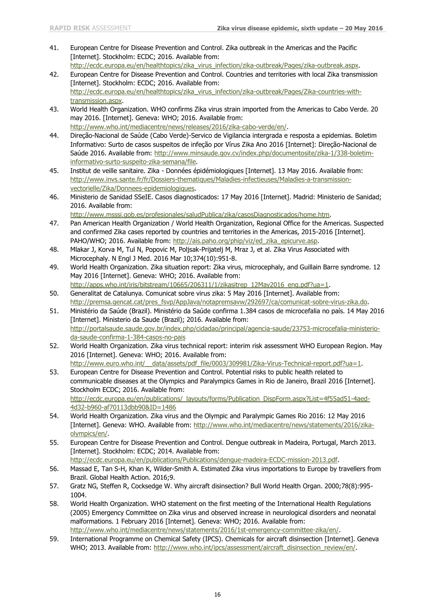- 41. European Centre for Disease Prevention and Control. Zika outbreak in the Americas and the Pacific [Internet]. Stockholm: ECDC; 2016. Available from: [http://ecdc.europa.eu/en/healthtopics/zika\\_virus\\_infection/zika-outbreak/Pages/zika-outbreak.aspx.](http://ecdc.europa.eu/en/healthtopics/zika_virus_infection/zika-outbreak/Pages/zika-outbreak.aspx)
- 42. European Centre for Disease Prevention and Control. Countries and territories with local Zika transmission [Internet]. Stockholm: ECDC; 2016. Available from: [http://ecdc.europa.eu/en/healthtopics/zika\\_virus\\_infection/zika-outbreak/Pages/Zika-countries-with](http://ecdc.europa.eu/en/healthtopics/zika_virus_infection/zika-outbreak/Pages/Zika-countries-with-transmission.aspx)[transmission.aspx.](http://ecdc.europa.eu/en/healthtopics/zika_virus_infection/zika-outbreak/Pages/Zika-countries-with-transmission.aspx)
- 43. World Health Organization. WHO confirms Zika virus strain imported from the Americas to Cabo Verde. 20 may 2016. [Internet]. Geneva: WHO; 2016. Available from: [http://www.who.int/mediacentre/news/releases/2016/zika-cabo-verde/en/.](http://www.who.int/mediacentre/news/releases/2016/zika-cabo-verde/en/)
- 44. Direção-Nacional de Saúde (Cabo Verde)-Servico de Vigilancia intergrada e resposta a epidemias. Boletim Informativo: Surto de casos suspeitos de infeção por Vírus Zika Ano 2016 [Internet]: Direção-Nacional de Saúde 2016. Available from: [http://www.minsaude.gov.cv/index.php/documentosite/zika-1/338-boletim](http://www.minsaude.gov.cv/index.php/documentosite/zika-1/338-boletim-informativo-surto-suspeito-zika-semana/file)[informativo-surto-suspeito-zika-semana/file.](http://www.minsaude.gov.cv/index.php/documentosite/zika-1/338-boletim-informativo-surto-suspeito-zika-semana/file)
- 45. Institut de veille sanitaire. Zika Données épidémiologiques [Internet]. 13 May 2016. Available from: [http://www.invs.sante.fr/fr/Dossiers-thematiques/Maladies-infectieuses/Maladies-a-transmission](http://www.invs.sante.fr/fr/Dossiers-thematiques/Maladies-infectieuses/Maladies-a-transmission-vectorielle/Zika/Donnees-epidemiologiques)[vectorielle/Zika/Donnees-epidemiologiques.](http://www.invs.sante.fr/fr/Dossiers-thematiques/Maladies-infectieuses/Maladies-a-transmission-vectorielle/Zika/Donnees-epidemiologiques)
- 46. Ministerio de Sanidad SSeIE. Casos diagnosticados: 17 May 2016 [Internet]. Madrid: Ministerio de Sanidad; 2016. Available from:

[http://www.msssi.gob.es/profesionales/saludPublica/zika/casosDiagnosticados/home.htm.](http://www.msssi.gob.es/profesionales/saludPublica/zika/casosDiagnosticados/home.htm)

- 47. Pan American Health Organization / World Health Organization, Regional Office for the Americas. Suspected and confirmed Zika cases reported by countries and territories in the Americas, 2015-2016 [Internet]. PAHO/WHO; 2016. Available from: [http://ais.paho.org/phip/viz/ed\\_zika\\_epicurve.asp.](http://ais.paho.org/phip/viz/ed_zika_epicurve.asp)
- 48. Mlakar J, Korva M, Tul N, Popovic M, Poljsak-Prijatelj M, Mraz J, et al. Zika Virus Associated with Microcephaly. N Engl J Med. 2016 Mar 10;374(10):951-8.
- 49. World Health Organization. Zika situation report: Zika virus, microcephaly, and Guillain Barre syndrome. 12 May 2016 [Internet]. Geneva: WHO; 2016. Available from: [http://apps.who.int/iris/bitstream/10665/206311/1/zikasitrep\\_12May2016\\_eng.pdf?ua=1.](http://apps.who.int/iris/bitstream/10665/206311/1/zikasitrep_12May2016_eng.pdf?ua=1)
- 50. Generalitat de Catalunya. Comunicat sobre virus zika: 5 May 2016 [Internet]. Available from: [http://premsa.gencat.cat/pres\\_fsvp/AppJava/notapremsavw/292697/ca/comunicat-sobre-virus-zika.do.](http://premsa.gencat.cat/pres_fsvp/AppJava/notapremsavw/292697/ca/comunicat-sobre-virus-zika.do)
- 51. Ministério da Saúde (Brazil). Ministério da Saúde confirma 1.384 casos de microcefalia no país. 14 May 2016 [Internet]. Ministerio da Saude (Brazil); 2016. Available from: [http://portalsaude.saude.gov.br/index.php/cidadao/principal/agencia-saude/23753-microcefalia-ministerio](http://portalsaude.saude.gov.br/index.php/cidadao/principal/agencia-saude/23753-microcefalia-ministerio-da-saude-confirma-1-384-casos-no-pais)[da-saude-confirma-1-384-casos-no-pais](http://portalsaude.saude.gov.br/index.php/cidadao/principal/agencia-saude/23753-microcefalia-ministerio-da-saude-confirma-1-384-casos-no-pais)
- 52. World Health Organization. Zika virus technical report: interim risk assessment WHO European Region. May 2016 [Internet]. Geneva: WHO; 2016. Available from: http://www.euro.who.int/ data/assets/pdf file/0003/309981/Zika-Virus-Technical-report.pdf?ua=1.
- 53. European Centre for Disease Prevention and Control. Potential risks to public health related to communicable diseases at the Olympics and Paralympics Games in Rio de Janeiro, Brazil 2016 [Internet]. Stockholm ECDC; 2016. Available from: [http://ecdc.europa.eu/en/publications/\\_layouts/forms/Publication\\_DispForm.aspx?List=4f55ad51-4aed-](http://ecdc.europa.eu/en/publications/_layouts/forms/Publication_DispForm.aspx?List=4f55ad51-4aed-4d32-b960-af70113dbb90&ID=1486)[4d32-b960-af70113dbb90&ID=1486](http://ecdc.europa.eu/en/publications/_layouts/forms/Publication_DispForm.aspx?List=4f55ad51-4aed-4d32-b960-af70113dbb90&ID=1486)
- 54. World Health Organization. Zika virus and the Olympic and Paralympic Games Rio 2016: 12 May 2016 [Internet]. Geneva: WHO. Available from: [http://www.who.int/mediacentre/news/statements/2016/zika](http://www.who.int/mediacentre/news/statements/2016/zika-olympics/en/)[olympics/en/.](http://www.who.int/mediacentre/news/statements/2016/zika-olympics/en/)
- 55. European Centre for Disease Prevention and Control. Dengue outbreak in Madeira, Portugal, March 2013. [Internet]. Stockholm: ECDC; 2014. Available from: [http://ecdc.europa.eu/en/publications/Publications/dengue-madeira-ECDC-mission-2013.pdf.](http://ecdc.europa.eu/en/publications/Publications/dengue-madeira-ECDC-mission-2013.pdf)
- 56. Massad E, Tan S-H, Khan K, Wilder-Smith A. Estimated Zika virus importations to Europe by travellers from Brazil. Global Health Action. 2016;9.
- 57. Gratz NG, Steffen R, Cocksedge W. Why aircraft disinsection? Bull World Health Organ. 2000;78(8):995- 1004.
- 58. World Health Organization. WHO statement on the first meeting of the International Health Regulations (2005) Emergency Committee on Zika virus and observed increase in neurological disorders and neonatal malformations. 1 February 2016 [Internet]. Geneva: WHO; 2016. Available from: [http://www.who.int/mediacentre/news/statements/2016/1st-emergency-committee-zika/en/.](http://www.who.int/mediacentre/news/statements/2016/1st-emergency-committee-zika/en/)
- 59. International Programme on Chemical Safety (IPCS). Chemicals for aircraft disinsection [Internet]. Geneva WHO; 2013. Available from: [http://www.who.int/ipcs/assessment/aircraft\\_disinsection\\_review/en/.](http://www.who.int/ipcs/assessment/aircraft_disinsection_review/en/)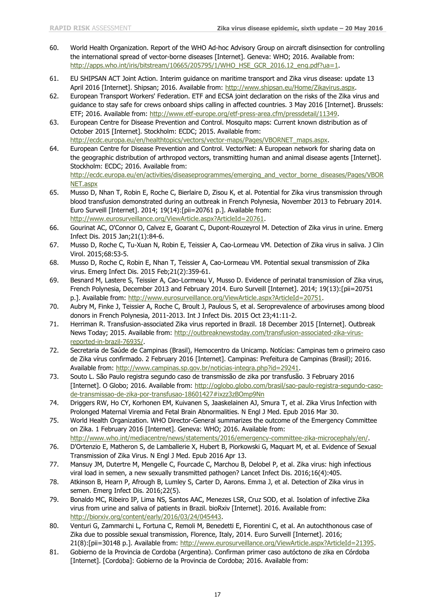- 60. World Health Organization. Report of the WHO Ad-hoc Advisory Group on aircraft disinsection for controlling the international spread of vector-borne diseases [Internet]. Geneva: WHO; 2016. Available from: [http://apps.who.int/iris/bitstream/10665/205795/1/WHO\\_HSE\\_GCR\\_2016.12\\_eng.pdf?ua=1.](http://apps.who.int/iris/bitstream/10665/205795/1/WHO_HSE_GCR_2016.12_eng.pdf?ua=1)
- 61. EU SHIPSAN ACT Joint Action. Interim guidance on maritime transport and Zika virus disease: update 13 April 2016 [Internet]. Shipsan; 2016. Available from: [http://www.shipsan.eu/Home/Zikavirus.aspx.](http://www.shipsan.eu/Home/Zikavirus.aspx)
- 62. European Transport Workers' Federation. ETF and ECSA joint declaration on the risks of the Zika virus and guidance to stay safe for crews onboard ships calling in affected countries. 3 May 2016 [Internet]. Brussels: ETF; 2016. Available from: [http://www.etf-europe.org/etf-press-area.cfm/pressdetail/11349.](http://www.etf-europe.org/etf-press-area.cfm/pressdetail/11349)
- 63. European Centre for Disease Prevention and Control. Mosquito maps: Current known distribution as of October 2015 [Internet]. Stockholm: ECDC; 2015. Available from: [http://ecdc.europa.eu/en/healthtopics/vectors/vector-maps/Pages/VBORNET\\_maps.aspx.](http://ecdc.europa.eu/en/healthtopics/vectors/vector-maps/Pages/VBORNET_maps.aspx)
- 64. European Centre for Disease Prevention and Control. VectorNet: A European network for sharing data on the geographic distribution of arthropod vectors, transmitting human and animal disease agents [Internet]. Stockholm: ECDC; 2016. Available from: [http://ecdc.europa.eu/en/activities/diseaseprogrammes/emerging\\_and\\_vector\\_borne\\_diseases/Pages/VBOR](http://ecdc.europa.eu/en/activities/diseaseprogrammes/emerging_and_vector_borne_diseases/Pages/VBORNET.aspx) [NET.aspx](http://ecdc.europa.eu/en/activities/diseaseprogrammes/emerging_and_vector_borne_diseases/Pages/VBORNET.aspx)
- 65. Musso D, Nhan T, Robin E, Roche C, Bierlaire D, Zisou K, et al. Potential for Zika virus transmission through blood transfusion demonstrated during an outbreak in French Polynesia, November 2013 to February 2014. Euro Surveill [Internet]. 2014; 19(14):[pii=20761 p.]. Available from: [http://www.eurosurveillance.org/ViewArticle.aspx?ArticleId=20761.](http://www.eurosurveillance.org/ViewArticle.aspx?ArticleId=20761)
- 66. Gourinat AC, O'Connor O, Calvez E, Goarant C, Dupont-Rouzeyrol M. Detection of Zika virus in urine. Emerg Infect Dis. 2015 Jan;21(1):84-6.
- 67. Musso D, Roche C, Tu-Xuan N, Robin E, Teissier A, Cao-Lormeau VM. Detection of Zika virus in saliva. J Clin Virol. 2015;68:53-5.
- 68. Musso D, Roche C, Robin E, Nhan T, Teissier A, Cao-Lormeau VM. Potential sexual transmission of Zika virus. Emerg Infect Dis. 2015 Feb;21(2):359-61.
- 69. Besnard M, Lastere S, Teissier A, Cao-Lormeau V, Musso D. Evidence of perinatal transmission of Zika virus, French Polynesia, December 2013 and February 2014. Euro Surveill [Internet]. 2014; 19(13):[pii=20751 p.]. Available from: [http://www.eurosurveillance.org/ViewArticle.aspx?ArticleId=20751.](http://www.eurosurveillance.org/ViewArticle.aspx?ArticleId=20751)
- 70. Aubry M, Finke J, Teissier A, Roche C, Broult J, Paulous S, et al. Seroprevalence of arboviruses among blood donors in French Polynesia, 2011-2013. Int J Infect Dis. 2015 Oct 23;41:11-2.
- 71. Herriman R. Transfusion-associated Zika virus reported in Brazil. 18 December 2015 [Internet]. Outbreak News Today; 2015. Available from: [http://outbreaknewstoday.com/transfusion-associated-zika-virus](http://outbreaknewstoday.com/transfusion-associated-zika-virus-reported-in-brazil-76935/)[reported-in-brazil-76935/.](http://outbreaknewstoday.com/transfusion-associated-zika-virus-reported-in-brazil-76935/)
- 72. Secretaria de Saúde de Campinas (Brasil), Hemocentro da Unicamp. Notícias: Campinas tem o primeiro caso de Zika vírus confirmado. 2 February 2016 [Internet]. Campinas: Prefeitura de Campinas (Brasil); 2016. Available from: [http://www.campinas.sp.gov.br/noticias-integra.php?id=29241.](http://www.campinas.sp.gov.br/noticias-integra.php?id=29241)
- 73. Souto L. São Paulo registra segundo caso de transmissão de zika por transfusão. 3 February 2016 [Internet]. O Globo; 2016. Available from: [http://oglobo.globo.com/brasil/sao-paulo-registra-segundo-caso](http://oglobo.globo.com/brasil/sao-paulo-registra-segundo-caso-de-transmissao-de-zika-por-transfusao-18601427#ixzz3zBOmp9Nn)[de-transmissao-de-zika-por-transfusao-18601427#ixzz3zBOmp9Nn](http://oglobo.globo.com/brasil/sao-paulo-registra-segundo-caso-de-transmissao-de-zika-por-transfusao-18601427#ixzz3zBOmp9Nn)
- 74. Driggers RW, Ho CY, Korhonen EM, Kuivanen S, Jaaskelainen AJ, Smura T, et al. Zika Virus Infection with Prolonged Maternal Viremia and Fetal Brain Abnormalities. N Engl J Med. Epub 2016 Mar 30.
- 75. World Health Organization. WHO Director-General summarizes the outcome of the Emergency Committee on Zika. 1 February 2016 [Internet]. Geneva: WHO; 2016. Available from: [http://www.who.int/mediacentre/news/statements/2016/emergency-committee-zika-microcephaly/en/.](http://www.who.int/mediacentre/news/statements/2016/emergency-committee-zika-microcephaly/en/)
- 76. D'Ortenzio E, Matheron S, de Lamballerie X, Hubert B, Piorkowski G, Maquart M, et al. Evidence of Sexual Transmission of Zika Virus. N Engl J Med. Epub 2016 Apr 13.
- 77. Mansuy JM, Dutertre M, Mengelle C, Fourcade C, Marchou B, Delobel P, et al. Zika virus: high infectious viral load in semen, a new sexually transmitted pathogen? Lancet Infect Dis. 2016;16(4):405.
- 78. Atkinson B, Hearn P, Afrough B, Lumley S, Carter D, Aarons. Emma J, et al. Detection of Zika virus in semen. Emerg Infect Dis. 2016;22(5).
- 79. Bonaldo MC, Ribeiro IP, Lima NS, Santos AAC, Menezes LSR, Cruz SOD, et al. Isolation of infective Zika virus from urine and saliva of patients in Brazil. bioRxiv [Internet]. 2016. Available from: [http://biorxiv.org/content/early/2016/03/24/045443.](http://biorxiv.org/content/early/2016/03/24/045443)
- 80. Venturi G, Zammarchi L, Fortuna C, Remoli M, Benedetti E, Fiorentini C, et al. An autochthonous case of Zika due to possible sexual transmission, Florence, Italy, 2014. Euro Surveill [Internet]. 2016; 21(8):[pii=30148 p.]. Available from: [http://www.eurosurveillance.org/ViewArticle.aspx?ArticleId=21395.](http://www.eurosurveillance.org/ViewArticle.aspx?ArticleId=21395)
- 81. Gobierno de la Provincia de Cordoba (Argentina). Confirman primer caso autóctono de zika en Córdoba [Internet]. [Cordoba]: Gobierno de la Provincia de Cordoba; 2016. Available from: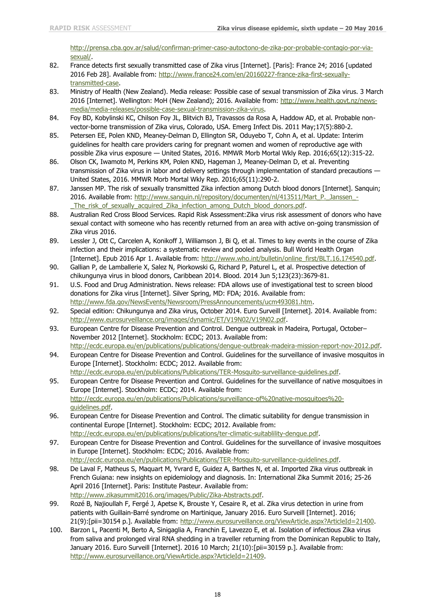[http://prensa.cba.gov.ar/salud/confirman-primer-caso-autoctono-de-zika-por-probable-contagio-por-via](http://prensa.cba.gov.ar/salud/confirman-primer-caso-autoctono-de-zika-por-probable-contagio-por-via-sexual/)[sexual/.](http://prensa.cba.gov.ar/salud/confirman-primer-caso-autoctono-de-zika-por-probable-contagio-por-via-sexual/)

- 82. France detects first sexually transmitted case of Zika virus [Internet]. [Paris]: France 24; 2016 [updated 2016 Feb 28]. Available from: [http://www.france24.com/en/20160227-france-zika-first-sexually](http://www.france24.com/en/20160227-france-zika-first-sexually-transmitted-case)[transmitted-case.](http://www.france24.com/en/20160227-france-zika-first-sexually-transmitted-case)
- 83. Ministry of Health (New Zealand). Media release: Possible case of sexual transmission of Zika virus. 3 March 2016 [Internet]. Wellington: MoH (New Zealand); 2016. Available from: [http://www.health.govt.nz/news](http://www.health.govt.nz/news-media/media-releases/possible-case-sexual-transmission-zika-virus)[media/media-releases/possible-case-sexual-transmission-zika-virus.](http://www.health.govt.nz/news-media/media-releases/possible-case-sexual-transmission-zika-virus)
- 84. Foy BD, Kobylinski KC, Chilson Foy JL, Blitvich BJ, Travassos da Rosa A, Haddow AD, et al. Probable nonvector-borne transmission of Zika virus, Colorado, USA. Emerg Infect Dis. 2011 May;17(5):880-2.
- 85. Petersen EE, Polen KND, Meaney-Delman D, Ellington SR, Oduyebo T, Cohn A, et al. Update: Interim guidelines for health care providers caring for pregnant women and women of reproductive age with possible Zika virus exposure — United States, 2016. MMWR Morb Mortal Wkly Rep. 2016;65(12):315-22.
- 86. Olson CK, Iwamoto M, Perkins KM, Polen KND, Hageman J, Meaney-Delman D, et al. Preventing transmission of Zika virus in labor and delivery settings through implementation of standard precautions — United States, 2016. MMWR Morb Mortal Wkly Rep. 2016;65(11):290-2.
- 87. Janssen MP. The risk of sexually transmitted Zika infection among Dutch blood donors [Internet]. Sanquin; 2016. Available from: [http://www.sanquin.nl/repository/documenten/nl/413511/Mart\\_P.\\_Janssen\\_-](http://www.sanquin.nl/repository/documenten/nl/413511/Mart_P._Janssen_-_The_risk_of_sexually_acquired_Zika_infection_among_Dutch_blood_donors.pdf) [\\_The\\_risk\\_of\\_sexually\\_acquired\\_Zika\\_infection\\_among\\_Dutch\\_blood\\_donors.pdf.](http://www.sanquin.nl/repository/documenten/nl/413511/Mart_P._Janssen_-_The_risk_of_sexually_acquired_Zika_infection_among_Dutch_blood_donors.pdf)
- 88. Australian Red Cross Blood Services. Rapid Risk Assessment:Zika virus risk assessment of donors who have sexual contact with someone who has recently returned from an area with active on-going transmission of Zika virus 2016.
- 89. Lessler J, Ott C, Carcelen A, Konikoff J, Williamson J, Bi Q, et al. Times to key events in the course of Zika infection and their implications: a systematic review and pooled analysis. Bull World Health Organ [Internet]. Epub 2016 Apr 1. Available from: [http://www.who.int/bulletin/online\\_first/BLT.16.174540.pdf.](http://www.who.int/bulletin/online_first/BLT.16.174540.pdf)
- 90. Gallian P, de Lamballerie X, Salez N, Piorkowski G, Richard P, Paturel L, et al. Prospective detection of chikungunya virus in blood donors, Caribbean 2014. Blood. 2014 Jun 5;123(23):3679-81.
- 91. U.S. Food and Drug Administration. News release: FDA allows use of investigational test to screen blood donations for Zika virus [Internet]. Silver Spring, MD: FDA; 2016. Available from: [http://www.fda.gov/NewsEvents/Newsroom/PressAnnouncements/ucm493081.htm.](http://www.fda.gov/NewsEvents/Newsroom/PressAnnouncements/ucm493081.htm)
- 92. Special edition: Chikungunya and Zika virus, October 2014. Euro Surveill [Internet]. 2014. Available from: [http://www.eurosurveillance.org/images/dynamic/ET/V19N02/V19N02.pdf.](http://www.eurosurveillance.org/images/dynamic/ET/V19N02/V19N02.pdf)
- 93. European Centre for Disease Prevention and Control. Dengue outbreak in Madeira, Portugal, October– November 2012 [Internet]. Stockholm: ECDC; 2013. Available from: [http://ecdc.europa.eu/en/publications/publications/dengue-outbreak-madeira-mission-report-nov-2012.pdf.](http://ecdc.europa.eu/en/publications/publications/dengue-outbreak-madeira-mission-report-nov-2012.pdf)
- 94. European Centre for Disease Prevention and Control. Guidelines for the surveillance of invasive mosquitos in Europe [Internet]. Stockholm: ECDC; 2012. Available from: [http://ecdc.europa.eu/en/publications/Publications/TER-Mosquito-surveillance-guidelines.pdf.](http://ecdc.europa.eu/en/publications/Publications/TER-Mosquito-surveillance-guidelines.pdf)
- 95. European Centre for Disease Prevention and Control. Guidelines for the surveillance of native mosquitoes in Europe [Internet]. Stockholm: ECDC; 2014. Available from: [http://ecdc.europa.eu/en/publications/Publications/surveillance-of%20native-mosquitoes%20](http://ecdc.europa.eu/en/publications/Publications/surveillance-of%20native-mosquitoes%20-guidelines.pdf) [guidelines.pdf.](http://ecdc.europa.eu/en/publications/Publications/surveillance-of%20native-mosquitoes%20-guidelines.pdf)
- 96. European Centre for Disease Prevention and Control. The climatic suitability for dengue transmission in continental Europe [Internet]. Stockholm: ECDC; 2012. Available from: [http://ecdc.europa.eu/en/publications/publications/ter-climatic-suitablility-dengue.pdf.](http://ecdc.europa.eu/en/publications/publications/ter-climatic-suitablility-dengue.pdf)
- 97. European Centre for Disease Prevention and Control. Guidelines for the surveillance of invasive mosquitoes in Europe [Internet]. Stockholm: ECDC; 2016. Available from: [http://ecdc.europa.eu/en/publications/Publications/TER-Mosquito-surveillance-guidelines.pdf.](http://ecdc.europa.eu/en/publications/Publications/TER-Mosquito-surveillance-guidelines.pdf)
- 98. De Laval F, Matheus S, Maquart M, Yvrard E, Guidez A, Barthes N, et al. Imported Zika virus outbreak in French Guiana: new insights on epidemiology and diagnosis. In: International Zika Summit 2016; 25-26 April 2016 [Internet]. Paris: Institute Pasteur. Available from: [http://www.zikasummit2016.org/images/Public/Zika-Abstracts.pdf.](http://www.zikasummit2016.org/images/Public/Zika-Abstracts.pdf)
- 99. Rozé B, Najioullah F, Fergé J, Apetse K, Brouste Y, Cesaire R, et al. Zika virus detection in urine from patients with Guillain-Barré syndrome on Martinique, January 2016. Euro Surveill [Internet]. 2016; 21(9):[pii=30154 p.]. Available from: [http://www.eurosurveillance.org/ViewArticle.aspx?ArticleId=21400.](http://www.eurosurveillance.org/ViewArticle.aspx?ArticleId=21400)
- 100. Barzon L, Pacenti M, Berto A, Sinigaglia A, Franchin E, Lavezzo E, et al. Isolation of infectious Zika virus from saliva and prolonged viral RNA shedding in a traveller returning from the Dominican Republic to Italy, January 2016. Euro Surveill [Internet]. 2016 10 March; 21(10):[pii=30159 p.]. Available from: [http://www.eurosurveillance.org/ViewArticle.aspx?ArticleId=21409.](http://www.eurosurveillance.org/ViewArticle.aspx?ArticleId=21409)